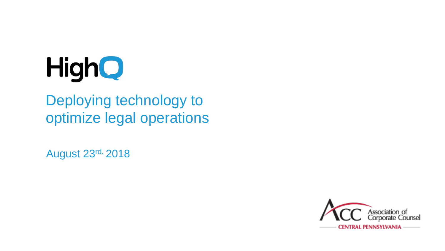

#### Deploying technology to optimize legal operations

August 23rd, 2018

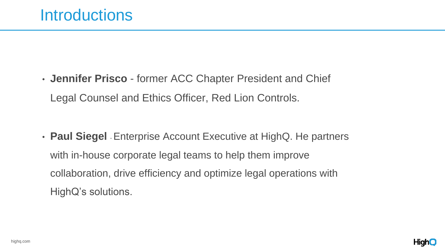

• **Jennifer Prisco** - former ACC Chapter President and Chief Legal Counsel and Ethics Officer, Red Lion Controls.

• **Paul Siegel** - Enterprise Account Executive at HighQ. He partners with in-house corporate legal teams to help them improve collaboration, drive efficiency and optimize legal operations with HighQ's solutions.

#### Introductions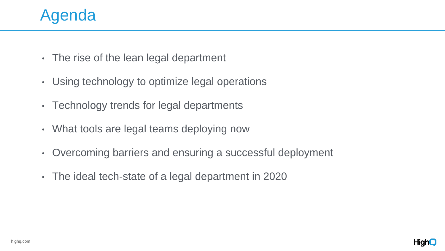

- The rise of the lean legal department
- Using technology to optimize legal operations
- Technology trends for legal departments
- What tools are legal teams deploying now
- Overcoming barriers and ensuring a successful deployment
- The ideal tech-state of a legal department in 2020

### Agenda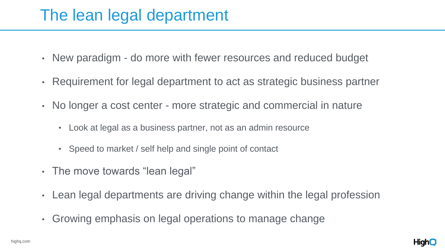

- New paradigm do more with fewer resources and reduced budget
- Requirement for legal department to act as strategic business partner
- No longer a cost center more strategic and commercial in nature
	- Look at legal as a business partner, not as an admin resource
	- Speed to market / self help and single point of contact
- The move towards "lean legal"
- Lean legal departments are driving change within the legal profession
- Growing emphasis on legal operations to manage change

### The lean legal department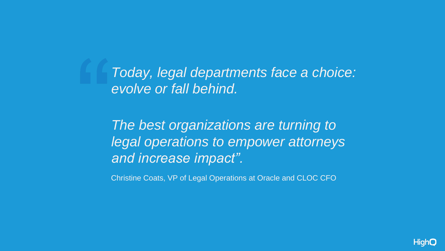Christine Coats, VP of Legal Operations at Oracle and CLOC CFO

# *Today, legal departments face a choice:*



*evolve or fall behind.*

*The best organizations are turning to legal operations to empower attorneys and increase impact".*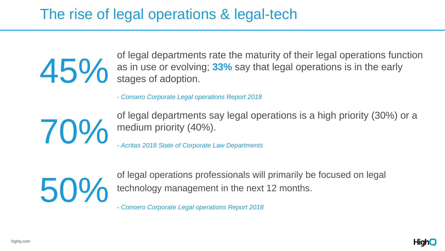



#### The rise of legal operations & legal-tech

of legal departments rate the maturity of their legal operations function<br>as in use or evolving; 33% say that legal operations is in the early<br>stages of adoption. as in use or evolving; **33%** say that legal operations is in the early stages of adoption.

of legal operations professionals will primarily be focused on legal The Figure of Presence of the next 12 months.<br>
Franchise Conserver Corporate Legal operations Report 2018

*- Consero Corporate Legal operations Report 2018*

70%

of legal departments say legal operations is a high priority (30%) or a medium priority (40%).

*- Acritas 2018 State of Corporate Law Departments*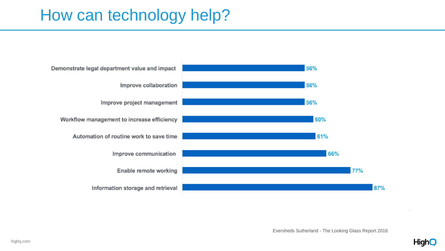

#### How can technology help?

Demonstrate legal department value and impact Improve collaboration Improve project management Workflow management to increase efficiency Automation of routine work to save time Improve communication Enable remote working Information storage and retrieval

Eversheds Sutherland - The Looking Glass Report 2016



 $\mathbb{R}$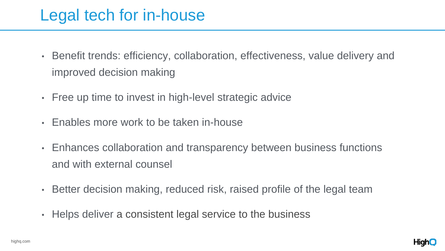- improved decision making
- Free up time to invest in high-level strategic advice
- Enables more work to be taken in-house
- Enhances collaboration and transparency between business functions and with external counsel
- Better decision making, reduced risk, raised profile of the legal team
- Helps deliver a consistent legal service to the business

• Benefit trends: efficiency, collaboration, effectiveness, value delivery and



### Legal tech for in-house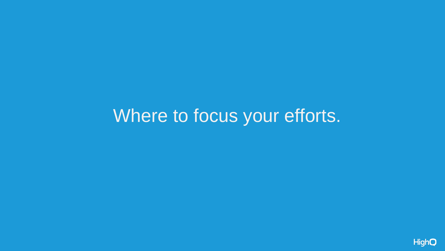# Where to focus your efforts.

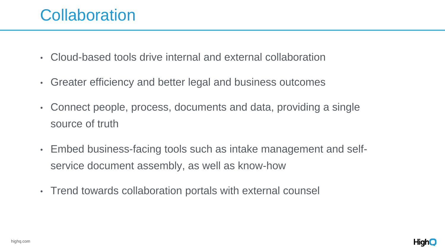

#### **Collaboration**

- Cloud-based tools drive internal and external collaboration
- Greater efficiency and better legal and business outcomes
- Connect people, process, documents and data, providing a single source of truth
- Embed business-facing tools such as intake management and selfservice document assembly, as well as know-how
- Trend towards collaboration portals with external counsel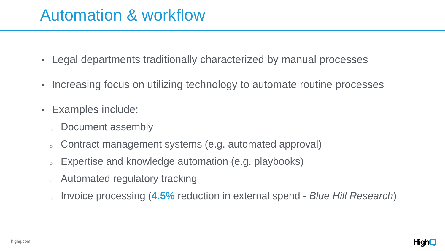#### • Legal departments traditionally characterized by manual processes

• Increasing focus on utilizing technology to automate routine processes

- 
- 
- Examples include:
	- <sup>o</sup> Document assembly
	- o Contract management systems (e.g. automated approval)
	- <sup>o</sup> Expertise and knowledge automation (e.g. playbooks)
	- <sup>o</sup> Automated regulatory tracking
	-

<sup>o</sup> Invoice processing (**4.5%** reduction in external spend - *Blue Hill Research*)



#### Automation & workflow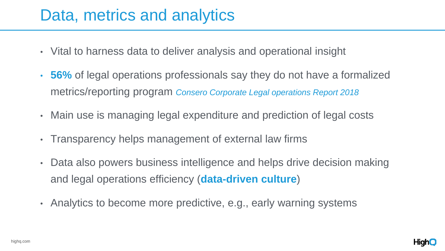

- Vital to harness data to deliver analysis and operational insight
- **56%** of legal operations professionals say they do not have a formalized metrics/reporting program *Consero Corporate Legal operations Report 2018*
- Main use is managing legal expenditure and prediction of legal costs
- Transparency helps management of external law firms
- Data also powers business intelligence and helps drive decision making and legal operations efficiency (**data-driven culture**)
- Analytics to become more predictive, e.g., early warning systems

### Data, metrics and analytics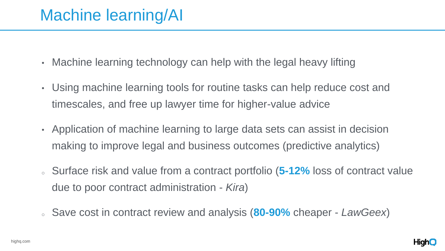

- Machine learning technology can help with the legal heavy lifting
- Using machine learning tools for routine tasks can help reduce cost and timescales, and free up lawyer time for higher-value advice
- Application of machine learning to large data sets can assist in decision making to improve legal and business outcomes (predictive analytics)
- Surface risk and value from a contract portfolio (5-12% loss of contract value due to poor contract administration - *Kira*)
- <sup>o</sup> Save cost in contract review and analysis (**80-90%** cheaper *LawGeex*)

### Machine learning/AI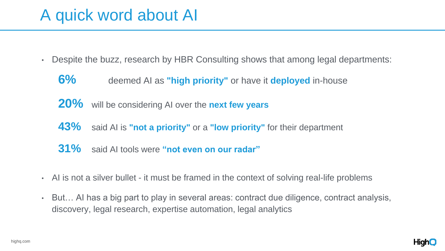

- Despite the buzz, research by HBR Consulting shows that among legal departments:
	- **6%** deemed AI as **"high priority"** or have it **deployed** in-house
	- **20%** will be considering AI over the **next few years**
	- **43%** said AI is **"not a priority"** or a **"low priority"** for their department
	- **31%** said AI tools were **"not even on our radar"**
- Al is not a silver bullet it must be framed in the context of solving real-life problems
- But… AI has a big part to play in several areas: contract due diligence, contract analysis, discovery, legal research, expertise automation, legal analytics

### A quick word about AI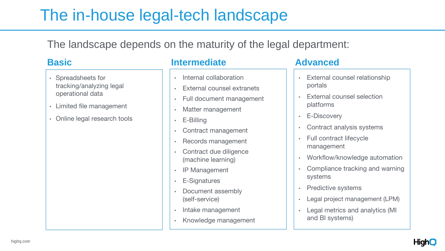- Spreadsheets for tracking/analyzing legal operational data
- Limited file management
- Online legal research tools

## The in-house legal-tech landscape

#### The landscape depends on the maturity of the legal department:

- Internal collaboration
- **External counsel extranets**
- Full document management
- Matter management
- E-Billing
- Contract management
- Records management
- Contract due diligence (machine learning)
- IP Management
- E-Signatures
- Document assembly (self-service)
- Intake management
- Knowledge management
- **External counsel relationship** portals
- **External counsel selection** platforms
- E-Discovery
- Contract analysis systems
- Full contract lifecycle management
- Workflow/knowledge automation
- Compliance tracking and warning systems
- Predictive systems
- Legal project management (LPM)
- Legal metrics and analytics (MI and BI systems)



#### **Basic Intermediate Advanced**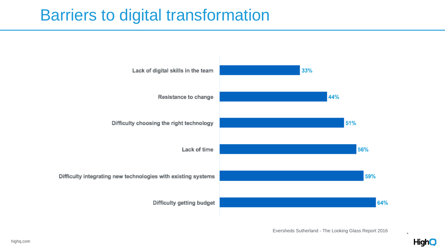

#### Barriers to digital transformation

Lack of digital skills in the team

Resistance to change

Difficulty choosing the right technology

Lack of time

Difficulty integrating new technologies with existing systems

Difficulty getting budget

Eversheds Sutherland - The Looking Glass Report 2016

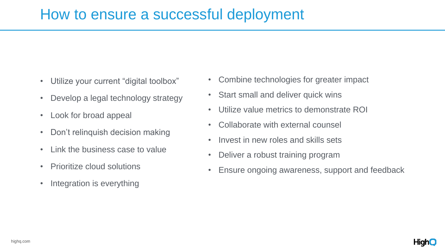- Utilize your current "digital toolbox"
- Develop a legal technology strategy
- Look for broad appeal
- Don't relinquish decision making
- Link the business case to value
- Prioritize cloud solutions
- Integration is everything

#### How to ensure a successful deployment

- Combine technologies for greater impact
- Start small and deliver quick wins
- Utilize value metrics to demonstrate ROI
- Collaborate with external counsel
- Invest in new roles and skills sets
- Deliver a robust training program
- Ensure ongoing awareness, support and feedback

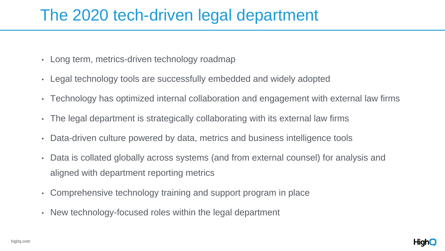

- Long term, metrics-driven technology roadmap
- Legal technology tools are successfully embedded and widely adopted
- Technology has optimized internal collaboration and engagement with external law firms
- The legal department is strategically collaborating with its external law firms
- Data-driven culture powered by data, metrics and business intelligence tools
- Data is collated globally across systems (and from external counsel) for analysis and aligned with department reporting metrics
- Comprehensive technology training and support program in place
- New technology-focused roles within the legal department

## The 2020 tech-driven legal department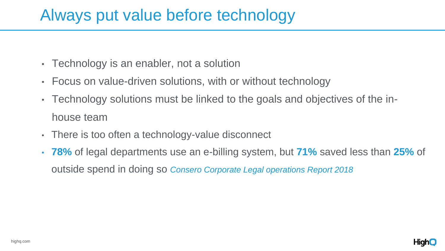

HighQ

- Technology is an enabler, not a solution
- Focus on value-driven solutions, with or without technology
- Technology solutions must be linked to the goals and objectives of the inhouse team
- There is too often a technology-value disconnect
- **78%** of legal departments use an e-billing system, but **71%** saved less than **25%** of outside spend in doing so *Consero Corporate Legal operations Report 2018*

### Always put value before technology